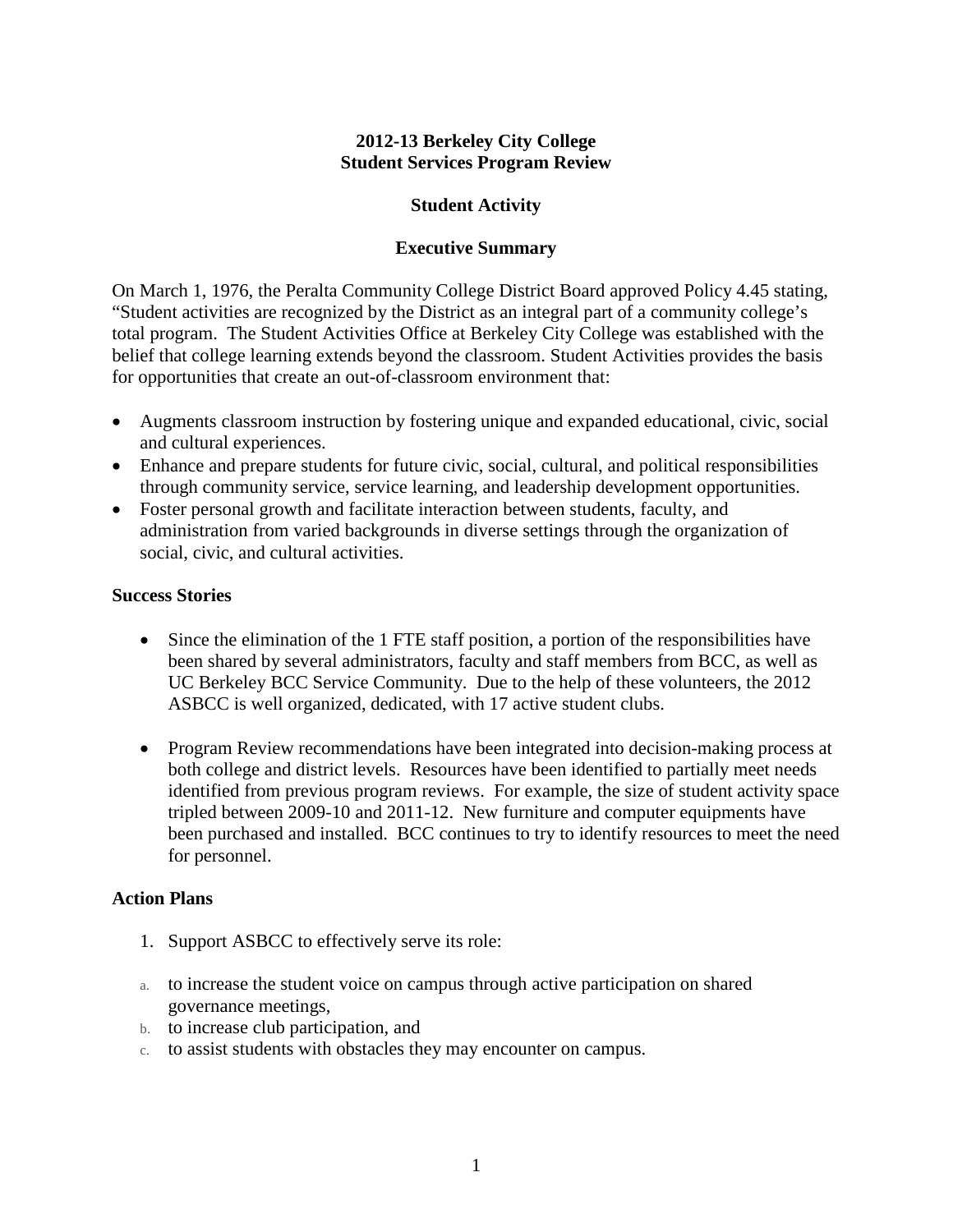### **2012-13 Berkeley City College Student Services Program Review**

### **Student Activity**

### **Executive Summary**

On March 1, 1976, the Peralta Community College District Board approved Policy 4.45 stating, "Student activities are recognized by the District as an integral part of a community college's total program. The Student Activities Office at Berkeley City College was established with the belief that college learning extends beyond the classroom. Student Activities provides the basis for opportunities that create an out-of-classroom environment that:

- Augments classroom instruction by fostering unique and expanded educational, civic, social and cultural experiences.
- Enhance and prepare students for future civic, social, cultural, and political responsibilities through community service, service learning, and leadership development opportunities.
- Foster personal growth and facilitate interaction between students, faculty, and administration from varied backgrounds in diverse settings through the organization of social, civic, and cultural activities.

#### **Success Stories**

- Since the elimination of the 1 FTE staff position, a portion of the responsibilities have been shared by several administrators, faculty and staff members from BCC, as well as UC Berkeley BCC Service Community. Due to the help of these volunteers, the 2012 ASBCC is well organized, dedicated, with 17 active student clubs.
- Program Review recommendations have been integrated into decision-making process at both college and district levels. Resources have been identified to partially meet needs identified from previous program reviews. For example, the size of student activity space tripled between 2009-10 and 2011-12. New furniture and computer equipments have been purchased and installed. BCC continues to try to identify resources to meet the need for personnel.

#### **Action Plans**

- 1. Support ASBCC to effectively serve its role:
- a. to increase the student voice on campus through active participation on shared governance meetings,
- b. to increase club participation, and
- c. to assist students with obstacles they may encounter on campus.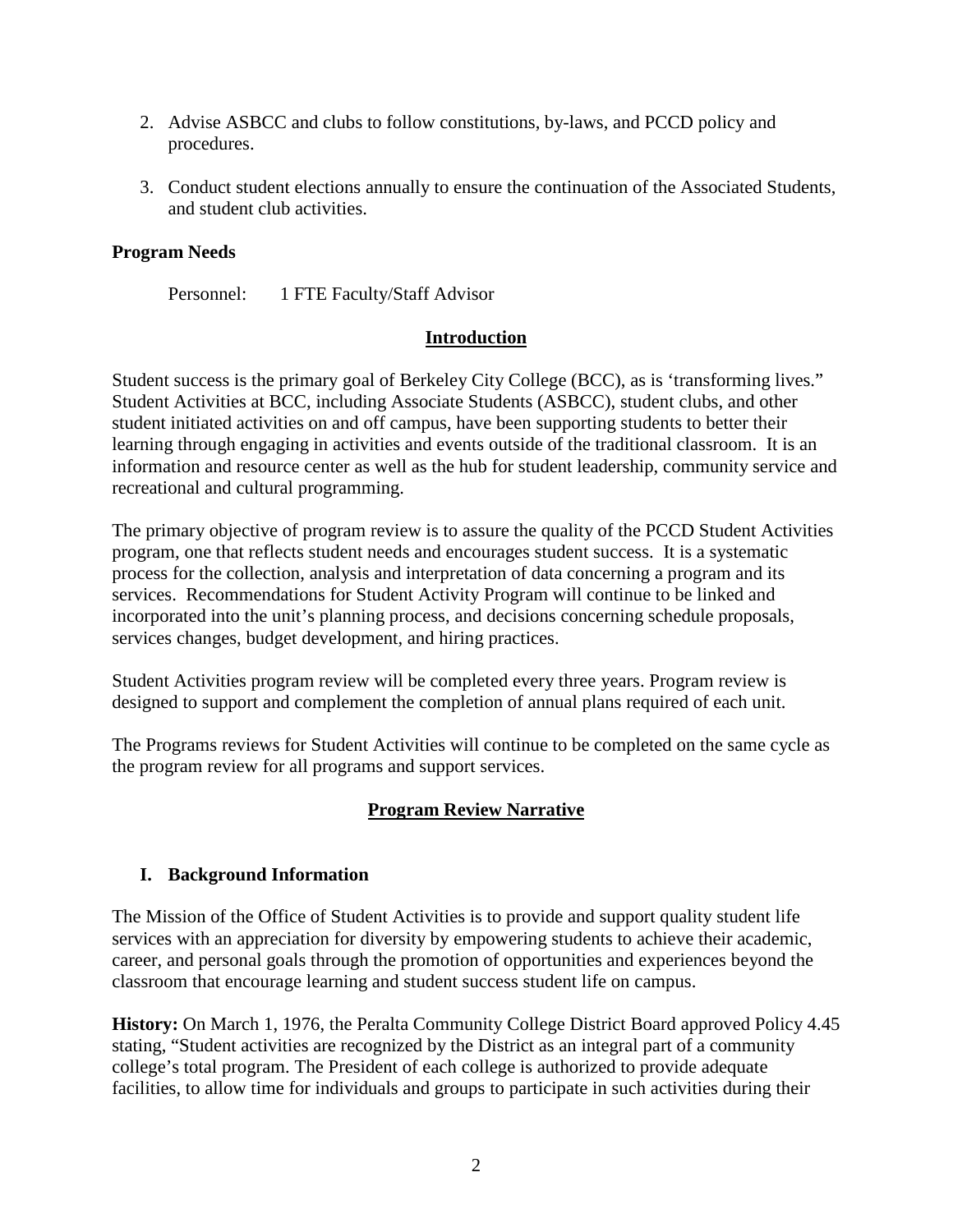- 2. Advise ASBCC and clubs to follow constitutions, by-laws, and PCCD policy and procedures.
- 3. Conduct student elections annually to ensure the continuation of the Associated Students, and student club activities.

# **Program Needs**

Personnel: 1 FTE Faculty/Staff Advisor

## **Introduction**

Student success is the primary goal of Berkeley City College (BCC), as is 'transforming lives." Student Activities at BCC, including Associate Students (ASBCC), student clubs, and other student initiated activities on and off campus, have been supporting students to better their learning through engaging in activities and events outside of the traditional classroom. It is an information and resource center as well as the hub for student leadership, community service and recreational and cultural programming.

The primary objective of program review is to assure the quality of the PCCD Student Activities program, one that reflects student needs and encourages student success. It is a systematic process for the collection, analysis and interpretation of data concerning a program and its services. Recommendations for Student Activity Program will continue to be linked and incorporated into the unit's planning process, and decisions concerning schedule proposals, services changes, budget development, and hiring practices.

Student Activities program review will be completed every three years. Program review is designed to support and complement the completion of annual plans required of each unit.

The Programs reviews for Student Activities will continue to be completed on the same cycle as the program review for all programs and support services.

## **Program Review Narrative**

## **I. Background Information**

The Mission of the Office of Student Activities is to provide and support quality student life services with an appreciation for diversity by empowering students to achieve their academic, career, and personal goals through the promotion of opportunities and experiences beyond the classroom that encourage learning and student success student life on campus.

**History:** On March 1, 1976, the Peralta Community College District Board approved Policy 4.45 stating, "Student activities are recognized by the District as an integral part of a community college's total program. The President of each college is authorized to provide adequate facilities, to allow time for individuals and groups to participate in such activities during their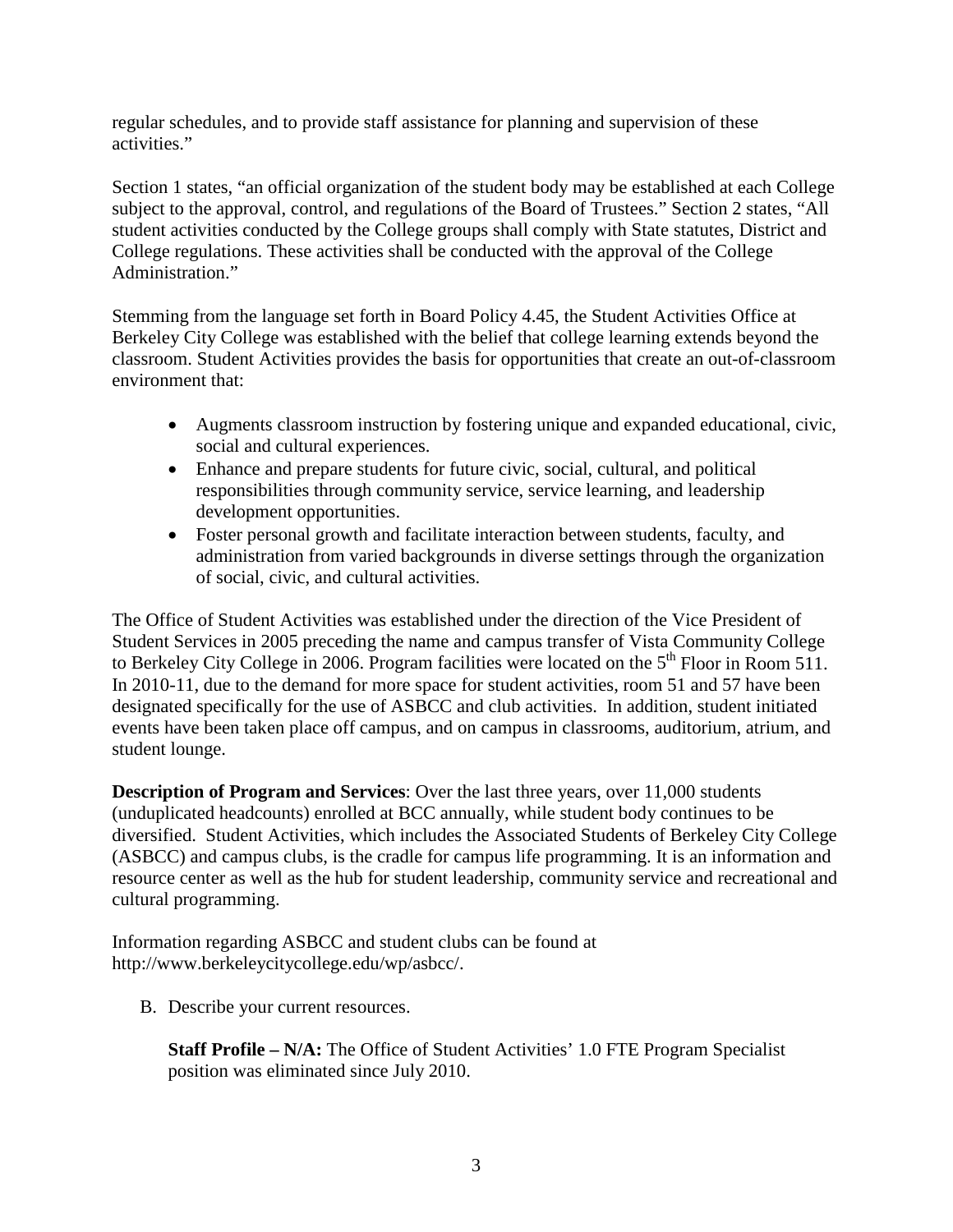regular schedules, and to provide staff assistance for planning and supervision of these activities."

Section 1 states, "an official organization of the student body may be established at each College subject to the approval, control, and regulations of the Board of Trustees." Section 2 states, "All student activities conducted by the College groups shall comply with State statutes, District and College regulations. These activities shall be conducted with the approval of the College Administration."

Stemming from the language set forth in Board Policy 4.45, the Student Activities Office at Berkeley City College was established with the belief that college learning extends beyond the classroom. Student Activities provides the basis for opportunities that create an out-of-classroom environment that:

- Augments classroom instruction by fostering unique and expanded educational, civic, social and cultural experiences.
- Enhance and prepare students for future civic, social, cultural, and political responsibilities through community service, service learning, and leadership development opportunities.
- Foster personal growth and facilitate interaction between students, faculty, and administration from varied backgrounds in diverse settings through the organization of social, civic, and cultural activities.

The Office of Student Activities was established under the direction of the Vice President of Student Services in 2005 preceding the name and campus transfer of Vista Community College to Berkeley City College in 2006. Program facilities were located on the  $5<sup>th</sup>$  Floor in Room 511. In 2010-11, due to the demand for more space for student activities, room 51 and 57 have been designated specifically for the use of ASBCC and club activities. In addition, student initiated events have been taken place off campus, and on campus in classrooms, auditorium, atrium, and student lounge.

**Description of Program and Services**: Over the last three years, over 11,000 students (unduplicated headcounts) enrolled at BCC annually, while student body continues to be diversified. Student Activities, which includes the Associated Students of Berkeley City College (ASBCC) and campus clubs, is the cradle for campus life programming. It is an information and resource center as well as the hub for student leadership, community service and recreational and cultural programming.

Information regarding ASBCC and student clubs can be found at http://www.berkeleycitycollege.edu/wp/asbcc/.

B. Describe your current resources.

**Staff Profile – N/A:** The Office of Student Activities' 1.0 FTE Program Specialist position was eliminated since July 2010.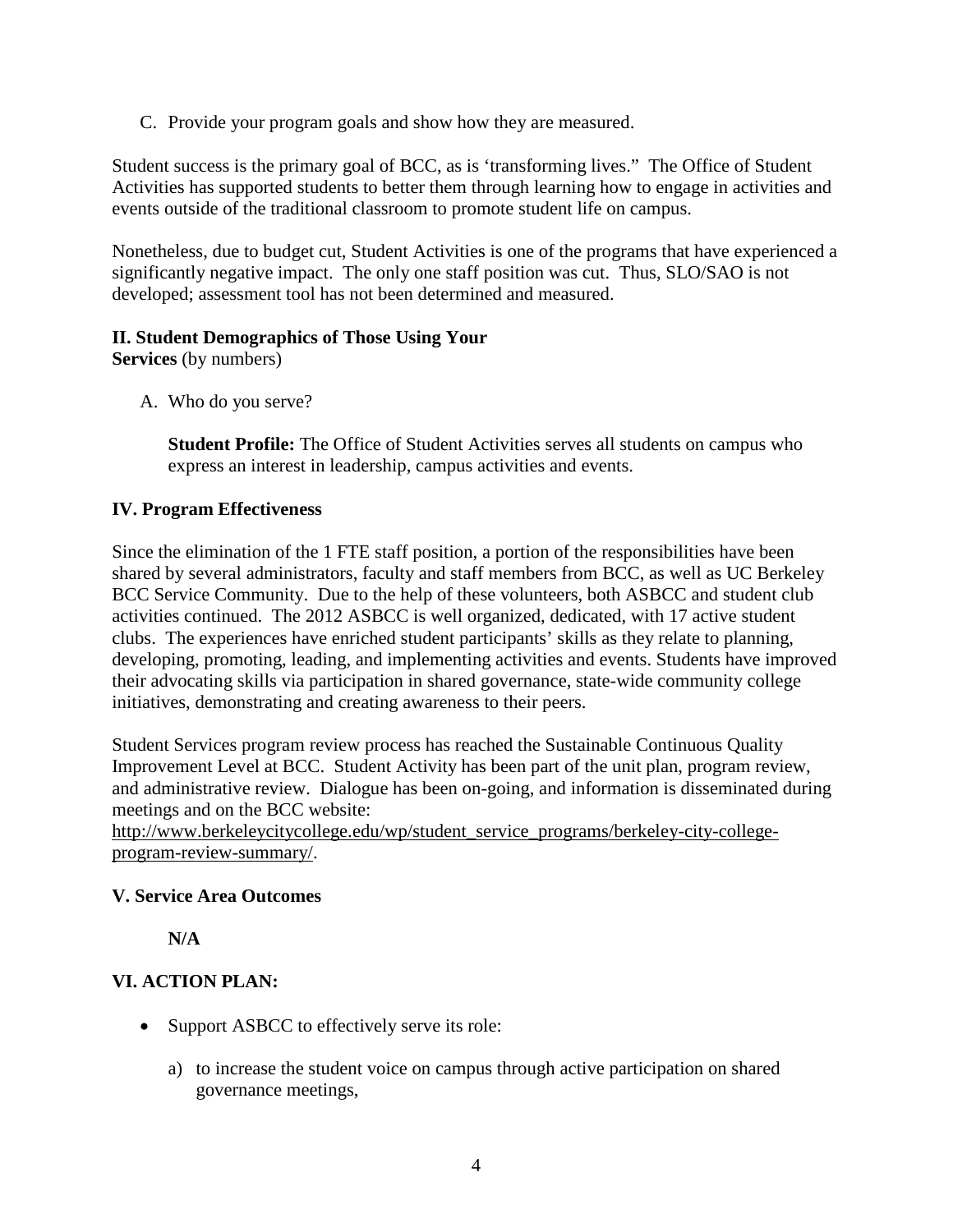C. Provide your program goals and show how they are measured.

Student success is the primary goal of BCC, as is 'transforming lives." The Office of Student Activities has supported students to better them through learning how to engage in activities and events outside of the traditional classroom to promote student life on campus.

Nonetheless, due to budget cut, Student Activities is one of the programs that have experienced a significantly negative impact. The only one staff position was cut. Thus, SLO/SAO is not developed; assessment tool has not been determined and measured.

## **II. Student Demographics of Those Using Your**

**Services** (by numbers)

A. Who do you serve?

**Student Profile:** The Office of Student Activities serves all students on campus who express an interest in leadership, campus activities and events.

### **IV. Program Effectiveness**

Since the elimination of the 1 FTE staff position, a portion of the responsibilities have been shared by several administrators, faculty and staff members from BCC, as well as UC Berkeley BCC Service Community. Due to the help of these volunteers, both ASBCC and student club activities continued. The 2012 ASBCC is well organized, dedicated, with 17 active student clubs. The experiences have enriched student participants' skills as they relate to planning, developing, promoting, leading, and implementing activities and events. Students have improved their advocating skills via participation in shared governance, state-wide community college initiatives, demonstrating and creating awareness to their peers.

Student Services program review process has reached the Sustainable Continuous Quality Improvement Level at BCC. Student Activity has been part of the unit plan, program review, and administrative review. Dialogue has been on-going, and information is disseminated during meetings and on the BCC website:

[http://www.berkeleycitycollege.edu/wp/student\\_service\\_programs/berkeley-city-college](http://www.berkeleycitycollege.edu/wp/student_service_programs/berkeley-city-college-program-review-summary/)[program-review-summary/.](http://www.berkeleycitycollege.edu/wp/student_service_programs/berkeley-city-college-program-review-summary/)

#### **V. Service Area Outcomes**

**N/A**

## **VI. ACTION PLAN:**

- Support ASBCC to effectively serve its role:
	- a) to increase the student voice on campus through active participation on shared governance meetings,